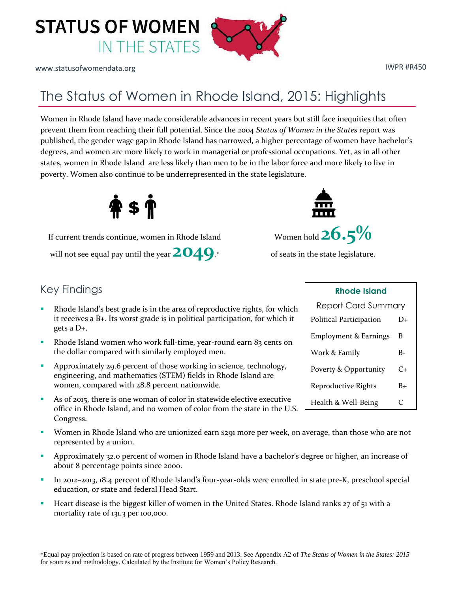

www.statusofwomendata.org in the set of the set of the set of the set of the set of the set of the set of the set of the set of the set of the set of the set of the set of the set of the set of the set of the set of the se

## The Status of Women in Rhode Island, 2015: Highlights

Women in Rhode Island have made considerable advances in recent years but still face inequities that often prevent them from reaching their full potential. Since the 2004 *Status of Women in the States* report was published, the gender wage gap in Rhode Island has narrowed, a higher percentage of women have bachelor's degrees, and women are more likely to work in managerial or professional occupations. Yet, as in all other states, women in Rhode Island are less likely than men to be in the labor force and more likely to live in poverty. Women also continue to be underrepresented in the state legislature.



will not see equal pay until the year  $2049$ .\* of seats in the state legislature.

## Key Findings

- Rhode Island's best grade is in the area of reproductive rights, for which it receives a B+. Its worst grade is in political participation, for which it gets a D+.
- Rhode Island women who work full-time, year-round earn 83 cents on the dollar compared with similarly employed men.
- Approximately 29.6 percent of those working in science, technology, engineering, and mathematics (STEM) fields in Rhode Island are women, compared with 28.8 percent nationwide.
- As of 2015, there is one woman of color in statewide elective executive office in Rhode Island, and no women of color from the state in the U.S. Congress.
- Women in Rhode Island who are unionized earn \$291 more per week, on average, than those who are not represented by a union.
- Approximately 32.0 percent of women in Rhode Island have a bachelor's degree or higher, an increase of about 8 percentage points since 2000.
- In 2012–2013, 18.4 percent of Rhode Island's four-year-olds were enrolled in state pre-K, preschool special education, or state and federal Head Start.
- Heart disease is the biggest killer of women in the United States. Rhode Island ranks 27 of 51 with a mortality rate of 131.3 per 100,000.



| NHUUG ISIUHU                     |      |  |
|----------------------------------|------|--|
| <b>Report Card Summary</b>       |      |  |
| Political Participation          | D+   |  |
| <b>Employment &amp; Earnings</b> | B    |  |
| Work & Family                    | B-   |  |
| Poverty & Opportunity            | C+   |  |
| Reproductive Rights              | $B+$ |  |
| Health & Well-Being              | C    |  |

**Rhode Island**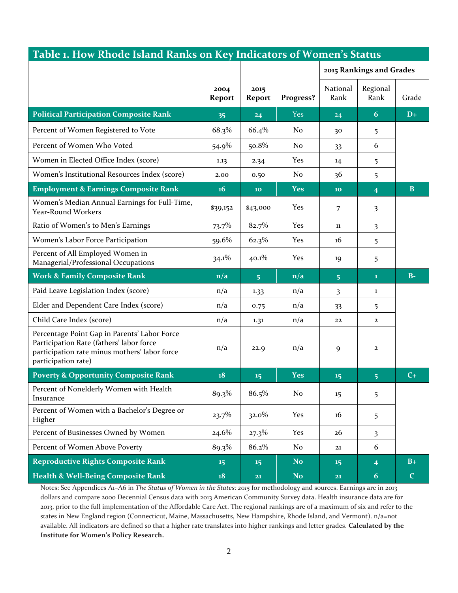| Table 1. How Rhode Island Ranks on Key Indicators of Women's Status                                                                                              |                         |                |            |                          |                         |             |
|------------------------------------------------------------------------------------------------------------------------------------------------------------------|-------------------------|----------------|------------|--------------------------|-------------------------|-------------|
|                                                                                                                                                                  |                         |                |            | 2015 Rankings and Grades |                         |             |
|                                                                                                                                                                  | 2004<br>Report          | 2015<br>Report | Progress?  | National<br>Rank         | Regional<br>Rank        | Grade       |
| <b>Political Participation Composite Rank</b>                                                                                                                    | 35                      | 24             | <b>Yes</b> | 24                       | 6                       | $D+$        |
| Percent of Women Registered to Vote                                                                                                                              | 68.3%                   | 66.4%          | No         | 30                       | 5                       |             |
| Percent of Women Who Voted                                                                                                                                       | 54.9%                   | 50.8%          | No         | 33                       | 6                       |             |
| Women in Elected Office Index (score)                                                                                                                            | 1.13                    | 2.34           | Yes        | 14                       | 5                       |             |
| Women's Institutional Resources Index (score)                                                                                                                    | 2.00                    | 0.50           | No         | 36                       | 5                       |             |
| <b>Employment &amp; Earnings Composite Rank</b>                                                                                                                  | <b>16</b>               | 10             | <b>Yes</b> | 10                       | $\overline{4}$          | B           |
| Women's Median Annual Earnings for Full-Time,<br>Year-Round Workers                                                                                              | \$39,152                | \$43,000       | Yes        | 7                        | 3                       |             |
| Ratio of Women's to Men's Earnings                                                                                                                               | 73.7%                   | 82.7%          | Yes        | 11                       | 3                       |             |
| Women's Labor Force Participation                                                                                                                                | 59.6%                   | 62.3%          | Yes        | 16                       | 5                       |             |
| Percent of All Employed Women in<br>Managerial/Professional Occupations                                                                                          | $34.1\%$                | $40.1\%$       | Yes        | 19                       | 5                       |             |
| <b>Work &amp; Family Composite Rank</b>                                                                                                                          | $\mathbf{n}/\mathbf{a}$ | 5 <sup>5</sup> | n/a        | 5 <sup>5</sup>           | $\mathbf{1}$            | $B-$        |
| Paid Leave Legislation Index (score)                                                                                                                             | n/a                     | 1.33           | n/a        | 3                        | 1                       |             |
| Elder and Dependent Care Index (score)                                                                                                                           | n/a                     | 0.75           | n/a        | 33                       | 5                       |             |
| Child Care Index (score)                                                                                                                                         | n/a                     | 1.31           | n/a        | 22                       | $\mathbf{z}$            |             |
| Percentage Point Gap in Parents' Labor Force<br>Participation Rate (fathers' labor force<br>participation rate minus mothers' labor force<br>participation rate) | n/a                     | 22.9           | n/a        | 9                        | $\mathbf{2}$            |             |
| <b>Poverty &amp; Opportunity Composite Rank</b>                                                                                                                  | 18                      | 15             | <b>Yes</b> | 15                       | $\overline{5}$          | $C+$        |
| Percent of Nonelderly Women with Health<br>Insurance                                                                                                             | 89.3%                   | 86.5%          | No         | 15                       | 5                       |             |
| Percent of Women with a Bachelor's Degree or<br>Higher                                                                                                           | $23.7\%$                | $32.0\%$       | Yes        | 16                       | 5                       |             |
| Percent of Businesses Owned by Women                                                                                                                             | $24.6\%$                | $27.3\%$       | Yes        | 26                       | $\overline{\mathbf{3}}$ |             |
| Percent of Women Above Poverty                                                                                                                                   | 89.3%                   | 86.2%          | No         | 21                       | 6                       |             |
| <b>Reproductive Rights Composite Rank</b>                                                                                                                        | 15 <sub>15</sub>        | 15             | No.        | 15                       | $\overline{4}$          | $B+$        |
| <b>Health &amp; Well-Being Composite Rank</b>                                                                                                                    | 18                      | 21             | No.        | 21                       | 6                       | $\mathbf C$ |

Notes: See Appendices A1–A6 in *The Status of Women in the States: 2015* for methodology and sources. Earnings are in 2013 dollars and compare 2000 Decennial Census data with 2013 American Community Survey data. Health insurance data are for 2013, prior to the full implementation of the Affordable Care Act. The regional rankings are of a maximum of six and refer to the states in New England region (Connecticut, Maine, Massachusetts, New Hampshire, Rhode Island, and Vermont). n/a=not available. All indicators are defined so that a higher rate translates into higher rankings and letter grades. **Calculated by the Institute for Women's Policy Research.**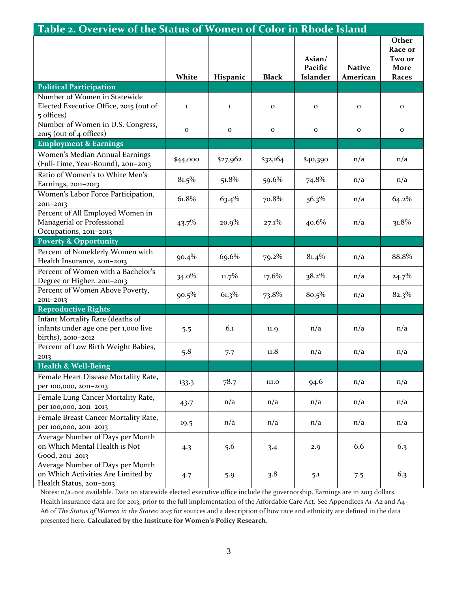| Table 2. Overview of the Status of Women of Color in Rhode Island                                  |              |              |              |                                      |                           |                                                    |
|----------------------------------------------------------------------------------------------------|--------------|--------------|--------------|--------------------------------------|---------------------------|----------------------------------------------------|
|                                                                                                    | White        | Hispanic     | <b>Black</b> | Asian/<br>Pacific<br><b>Islander</b> | <b>Native</b><br>American | Other<br>Race or<br>Two or<br>More<br><b>Races</b> |
| <b>Political Participation</b>                                                                     |              |              |              |                                      |                           |                                                    |
| Number of Women in Statewide<br>Elected Executive Office, 2015 (out of<br>5 offices)               | $\mathbf{1}$ | $\bf{1}$     | $\mathbf 0$  | $\mathbf{o}$                         | $\mathbf{o}$              | $\mathbf{o}$                                       |
| Number of Women in U.S. Congress,<br>2015 (out of 4 offices)                                       | $\mathbf 0$  | $\mathbf{o}$ | $\mathbf{o}$ | $\mathbf{o}$                         | $\mathbf 0$               | $\mathbf 0$                                        |
| <b>Employment &amp; Earnings</b>                                                                   |              |              |              |                                      |                           |                                                    |
| Women's Median Annual Earnings<br>(Full-Time, Year-Round), 2011-2013                               | \$44,000     | \$27,962     | \$32,164     | \$40,390                             | n/a                       | n/a                                                |
| Ratio of Women's to White Men's<br>Earnings, 2011-2013                                             | 81.5%        | 51.8%        | 59.6%        | 74.8%                                | n/a                       | n/a                                                |
| Women's Labor Force Participation,<br>2011-2013                                                    | 61.8%        | $63.4\%$     | 70.8%        | $56.3\%$                             | n/a                       | 64.2%                                              |
| Percent of All Employed Women in<br>Managerial or Professional<br>Occupations, 2011-2013           | 43.7%        | $20.9\%$     | $27.1\%$     | 40.6%                                | n/a                       | 31.8%                                              |
| <b>Poverty &amp; Opportunity</b>                                                                   |              |              |              |                                      |                           |                                                    |
| Percent of Nonelderly Women with<br>Health Insurance, 2011-2013                                    | 90.4%        | 69.6%        | $79.2\%$     | 81.4%                                | n/a                       | 88.8%                                              |
| Percent of Women with a Bachelor's<br>Degree or Higher, 2011-2013                                  | $34.0\%$     | $11.7\%$     | $17.6\%$     | 38.2%                                | n/a                       | 24.7%                                              |
| Percent of Women Above Poverty,<br>2011-2013                                                       | $90.5\%$     | $61.3\%$     | 73.8%        | 80.5%                                | n/a                       | 82.3%                                              |
| <b>Reproductive Rights</b>                                                                         |              |              |              |                                      |                           |                                                    |
| Infant Mortality Rate (deaths of<br>infants under age one per 1,000 live<br>births), 2010-2012     | 5.5          | 6.1          | 11.9         | n/a                                  | n/a                       | n/a                                                |
| Percent of Low Birth Weight Babies,<br>2013                                                        | 5.8          | 7.7          | 11.8         | n/a                                  | n/a                       | n/a                                                |
| <b>Health &amp; Well-Being</b>                                                                     |              |              |              |                                      |                           |                                                    |
| Female Heart Disease Mortality Rate,<br>per 100,000, 2011-2013                                     | 133.3        | 78.7         | 111.0        | 94.6                                 | n/a                       | n/a                                                |
| Female Lung Cancer Mortality Rate,<br>per 100,000, 2011-2013                                       | 43.7         | n/a          | n/a          | n/a                                  | n/a                       | n/a                                                |
| Female Breast Cancer Mortality Rate,<br>per 100,000, 2011-2013                                     | 19.5         | n/a          | n/a          | n/a                                  | n/a                       | n/a                                                |
| Average Number of Days per Month<br>on Which Mental Health is Not<br>Good, 2011-2013               | 4.3          | 5.6          | 3.4          | 2.9                                  | 6.6                       | 6.3                                                |
| Average Number of Days per Month<br>on Which Activities Are Limited by<br>Health Status, 2011-2013 | 4.7          | 5.9          | 3.8          | 5.1                                  | 7.5                       | 6.3                                                |

Notes: n/a=not available. Data on statewide elected executive office include the governorship. Earnings are in 2013 dollars. Health insurance data are for 2013, prior to the full implementation of the Affordable Care Act. See Appendices A1–A2 and A4– A6 of *The Status of Women in the States: 2015* for sources and a description of how race and ethnicity are defined in the data presented here. **Calculated by the Institute for Women's Policy Research.**